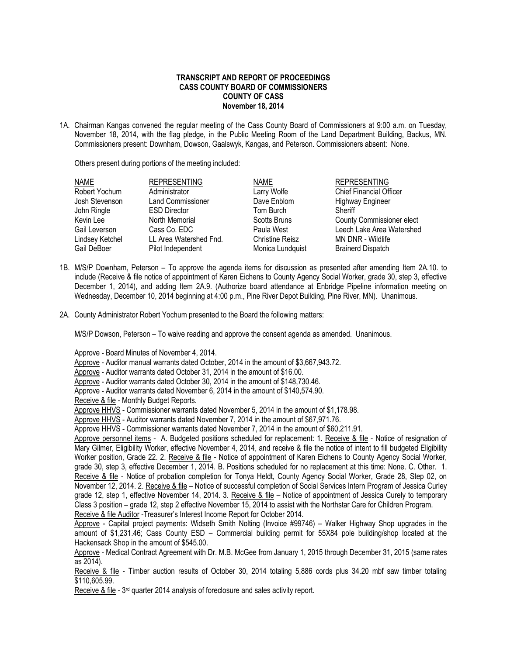## **TRANSCRIPT AND REPORT OF PROCEEDINGS CASS COUNTY BOARD OF COMMISSIONERS COUNTY OF CASS November 18, 2014**

1A. Chairman Kangas convened the regular meeting of the Cass County Board of Commissioners at 9:00 a.m. on Tuesday, November 18, 2014, with the flag pledge, in the Public Meeting Room of the Land Department Building, Backus, MN. Commissioners present: Downham, Dowson, Gaalswyk, Kangas, and Peterson. Commissioners absent: None.

Others present during portions of the meeting included:

| <b>NAME</b>     | <b>REPRESENTING</b>      | <b>NAME</b>            | <b>REPRESENTING</b>              |
|-----------------|--------------------------|------------------------|----------------------------------|
| Robert Yochum   | Administrator            | Larry Wolfe            | <b>Chief Financial Officer</b>   |
| Josh Stevenson  | <b>Land Commissioner</b> | Dave Enblom            | <b>Highway Engineer</b>          |
| John Ringle     | <b>ESD Director</b>      | Tom Burch              | Sheriff                          |
| Kevin Lee       | North Memorial           | Scotts Bruns           | <b>County Commissioner elect</b> |
| Gail Leverson   | Cass Co. EDC             | Paula West             | Leech Lake Area Watershed        |
| Lindsey Ketchel | LL Area Watershed Fnd.   | <b>Christine Reisz</b> | MN DNR - Wildlife                |
| Gail DeBoer     | Pilot Independent        | Monica Lundquist       | <b>Brainerd Dispatch</b>         |

- 1B. M/S/P Downham, Peterson To approve the agenda items for discussion as presented after amending Item 2A.10. to include (Receive & file notice of appointment of Karen Eichens to County Agency Social Worker, grade 30, step 3, effective December 1, 2014), and adding Item 2A.9. (Authorize board attendance at Enbridge Pipeline information meeting on Wednesday, December 10, 2014 beginning at 4:00 p.m., Pine River Depot Building, Pine River, MN). Unanimous.
- 2A. County Administrator Robert Yochum presented to the Board the following matters:

M/S/P Dowson, Peterson – To waive reading and approve the consent agenda as amended. Unanimous.

Approve - Board Minutes of November 4, 2014.

Approve - Auditor manual warrants dated October, 2014 in the amount of \$3,667,943.72.

Approve - Auditor warrants dated October 31, 2014 in the amount of \$16.00.

Approve - Auditor warrants dated October 30, 2014 in the amount of \$148,730.46.

Approve - Auditor warrants dated November 6, 2014 in the amount of \$140,574.90.

Receive & file - Monthly Budget Reports.

Approve HHVS - Commissioner warrants dated November 5, 2014 in the amount of \$1,178.98.

Approve HHVS - Auditor warrants dated November 7, 2014 in the amount of \$67.971.76.

Approve HHVS - Commissioner warrants dated November 7, 2014 in the amount of \$60,211.91.

Approve personnel items - A. Budgeted positions scheduled for replacement: 1. Receive & file - Notice of resignation of Mary Gilmer, Eligibility Worker, effective November 4, 2014, and receive & file the notice of intent to fill budgeted Eligibility Worker position, Grade 22. 2. Receive & file - Notice of appointment of Karen Eichens to County Agency Social Worker, grade 30, step 3, effective December 1, 2014. B. Positions scheduled for no replacement at this time: None. C. Other. 1. Receive & file - Notice of probation completion for Tonya Heldt, County Agency Social Worker, Grade 28, Step 02, on November 12, 2014. 2. Receive & file – Notice of successful completion of Social Services Intern Program of Jessica Curley grade 12, step 1, effective November 14, 2014. 3. Receive & file – Notice of appointment of Jessica Curely to temporary Class 3 position – grade 12, step 2 effective November 15, 2014 to assist with the Northstar Care for Children Program. Receive & file Auditor -Treasurer's Interest Income Report for October 2014.

Approve - Capital project payments: Widseth Smith Nolting (Invoice #99746) – Walker Highway Shop upgrades in the amount of \$1,231.46; Cass County ESD – Commercial building permit for 55X84 pole building/shop located at the Hackensack Shop in the amount of \$545.00.

Approve - Medical Contract Agreement with Dr. M.B. McGee from January 1, 2015 through December 31, 2015 (same rates as 2014).

Receive & file - Timber auction results of October 30, 2014 totaling 5,886 cords plus 34.20 mbf saw timber totaling \$110,605.99.

Receive & file - 3<sup>rd</sup> quarter 2014 analysis of foreclosure and sales activity report.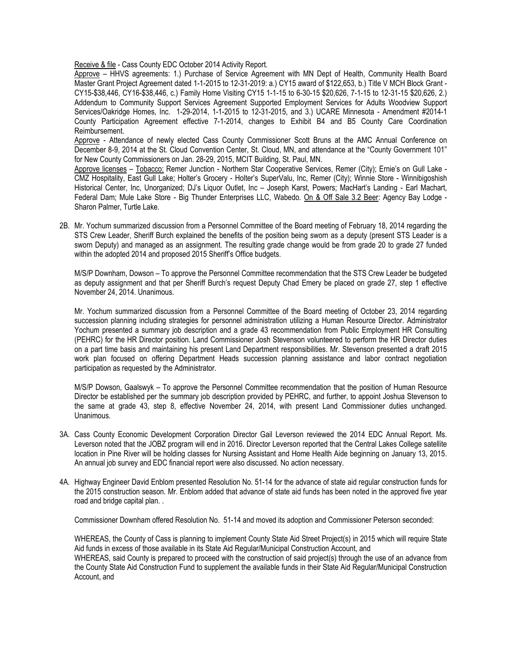Receive & file - Cass County EDC October 2014 Activity Report.

Approve – HHVS agreements: 1.) Purchase of Service Agreement with MN Dept of Health, Community Health Board Master Grant Project Agreement dated 1-1-2015 to 12-31-2019: a.) CY15 award of \$122,653, b.) Title V MCH Block Grant - CY15-\$38,446, CY16-\$38,446, c.) Family Home Visiting CY15 1-1-15 to 6-30-15 \$20,626, 7-1-15 to 12-31-15 \$20,626, 2.) Addendum to Community Support Services Agreement Supported Employment Services for Adults Woodview Support Services/Oakridge Homes, Inc. 1-29-2014, 1-1-2015 to 12-31-2015, and 3.) UCARE Minnesota - Amendment #2014-1 County Participation Agreement effective 7-1-2014, changes to Exhibit B4 and B5 County Care Coordination Reimbursement.

Approve - Attendance of newly elected Cass County Commissioner Scott Bruns at the AMC Annual Conference on December 8-9, 2014 at the St. Cloud Convention Center, St. Cloud, MN, and attendance at the "County Government 101" for New County Commissioners on Jan. 28-29, 2015, MCIT Building, St. Paul, MN.

Approve licenses – Tobacco: Remer Junction - Northern Star Cooperative Services, Remer (City); Ernie's on Gull Lake - CMZ Hospitality, East Gull Lake; Holter's Grocery - Holter's SuperValu, Inc, Remer (City); Winnie Store - Winnibigoshish Historical Center, Inc, Unorganized; DJ's Liquor Outlet, Inc – Joseph Karst, Powers; MacHart's Landing - Earl Machart, Federal Dam; Mule Lake Store - Big Thunder Enterprises LLC, Wabedo. On & Off Sale 3.2 Beer: Agency Bay Lodge - Sharon Palmer, Turtle Lake.

2B. Mr. Yochum summarized discussion from a Personnel Committee of the Board meeting of February 18, 2014 regarding the STS Crew Leader, Sheriff Burch explained the benefits of the position being sworn as a deputy (present STS Leader is a sworn Deputy) and managed as an assignment. The resulting grade change would be from grade 20 to grade 27 funded within the adopted 2014 and proposed 2015 Sheriff's Office budgets.

M/S/P Downham, Dowson – To approve the Personnel Committee recommendation that the STS Crew Leader be budgeted as deputy assignment and that per Sheriff Burch's request Deputy Chad Emery be placed on grade 27, step 1 effective November 24, 2014. Unanimous.

Mr. Yochum summarized discussion from a Personnel Committee of the Board meeting of October 23, 2014 regarding succession planning including strategies for personnel administration utilizing a Human Resource Director. Administrator Yochum presented a summary job description and a grade 43 recommendation from Public Employment HR Consulting (PEHRC) for the HR Director position. Land Commissioner Josh Stevenson volunteered to perform the HR Director duties on a part time basis and maintaining his present Land Department responsibilities. Mr. Stevenson presented a draft 2015 work plan focused on offering Department Heads succession planning assistance and labor contract negotiation participation as requested by the Administrator.

M/S/P Dowson, Gaalswyk – To approve the Personnel Committee recommendation that the position of Human Resource Director be established per the summary job description provided by PEHRC, and further, to appoint Joshua Stevenson to the same at grade 43, step 8, effective November 24, 2014, with present Land Commissioner duties unchanged. Unanimous.

- 3A. Cass County Economic Development Corporation Director Gail Leverson reviewed the 2014 EDC Annual Report. Ms. Leverson noted that the JOBZ program will end in 2016. Director Leverson reported that the Central Lakes College satellite location in Pine River will be holding classes for Nursing Assistant and Home Health Aide beginning on January 13, 2015. An annual job survey and EDC financial report were also discussed. No action necessary.
- 4A. Highway Engineer David Enblom presented Resolution No. 51-14 for the advance of state aid regular construction funds for the 2015 construction season. Mr. Enblom added that advance of state aid funds has been noted in the approved five year road and bridge capital plan. .

Commissioner Downham offered Resolution No. 51-14 and moved its adoption and Commissioner Peterson seconded:

WHEREAS, the County of Cass is planning to implement County State Aid Street Project(s) in 2015 which will require State Aid funds in excess of those available in its State Aid Regular/Municipal Construction Account, and

WHEREAS, said County is prepared to proceed with the construction of said project(s) through the use of an advance from the County State Aid Construction Fund to supplement the available funds in their State Aid Regular/Municipal Construction Account, and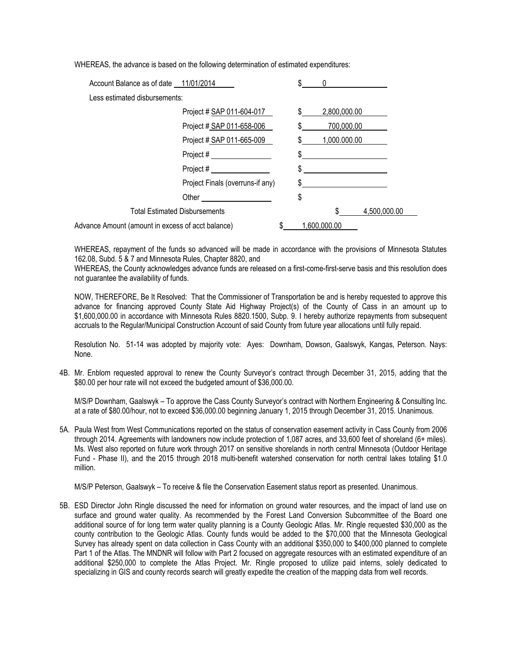WHEREAS, the advance is based on the following determination of estimated expenditures:

| Account Balance as of date 11/01/2014             |  | \$<br>0      |              |              |
|---------------------------------------------------|--|--------------|--------------|--------------|
| Less estimated disbursements:                     |  |              |              |              |
| Project # SAP 011-604-017                         |  | \$           | 2,800,000.00 |              |
| Project # SAP 011-658-006                         |  | \$           | 700,000.00   |              |
| Project # SAP 011-665-009                         |  | \$.          | 1,000.000.00 |              |
|                                                   |  |              |              |              |
| Project #                                         |  | \$           |              |              |
| Project Finals (overruns-if any)                  |  | $\mathbb{S}$ |              |              |
|                                                   |  | \$           |              |              |
| <b>Total Estimated Disbursements</b>              |  |              |              | 4,500,000.00 |
| Advance Amount (amount in excess of acct balance) |  | 1,600,000.00 |              |              |

WHEREAS, repayment of the funds so advanced will be made in accordance with the provisions of Minnesota Statutes 162.08, Subd. 5 & 7 and Minnesota Rules, Chapter 8820, and

WHEREAS, the County acknowledges advance funds are released on a first-come-first-serve basis and this resolution does not guarantee the availability of funds.

NOW, THEREFORE, Be It Resolved: That the Commissioner of Transportation be and is hereby requested to approve this advance for financing approved County State Aid Highway Project(s) of the County of Cass in an amount up to \$1,600,000.00 in accordance with Minnesota Rules 8820.1500, Subp. 9. I hereby authorize repayments from subsequent accruals to the Regular/Municipal Construction Account of said County from future year allocations until fully repaid.

Resolution No. 51-14 was adopted by majority vote: Ayes: Downham, Dowson, Gaalswyk, Kangas, Peterson. Nays: None.

4B. Mr. Enblom requested approval to renew the County Surveyor's contract through December 31, 2015, adding that the \$80.00 per hour rate will not exceed the budgeted amount of \$36,000.00.

M/S/P Downham, Gaalswyk – To approve the Cass County Surveyor's contract with Northern Engineering & Consulting Inc. at a rate of \$80.00/hour, not to exceed \$36,000.00 beginning January 1, 2015 through December 31, 2015. Unanimous.

5A. Paula West from West Communications reported on the status of conservation easement activity in Cass County from 2006 through 2014. Agreements with landowners now include protection of 1,087 acres, and 33,600 feet of shoreland (6+ miles). Ms. West also reported on future work through 2017 on sensitive shorelands in north central Minnesota (Outdoor Heritage Fund - Phase II), and the 2015 through 2018 multi-benefit watershed conservation for north central lakes totaling \$1.0 million.

M/S/P Peterson, Gaalswyk – To receive & file the Conservation Easement status report as presented. Unanimous.

5B. ESD Director John Ringle discussed the need for information on ground water resources, and the impact of land use on surface and ground water quality. As recommended by the Forest Land Conversion Subcommittee of the Board one additional source of for long term water quality planning is a County Geologic Atlas. Mr. Ringle requested \$30,000 as the county contribution to the Geologic Atlas. County funds would be added to the \$70,000 that the Minnesota Geological Survey has already spent on data collection in Cass County with an additional \$350,000 to \$400,000 planned to complete Part 1 of the Atlas. The MNDNR will follow with Part 2 focused on aggregate resources with an estimated expenditure of an additional \$250,000 to complete the Atlas Project. Mr. Ringle proposed to utilize paid interns, solely dedicated to specializing in GIS and county records search will greatly expedite the creation of the mapping data from well records.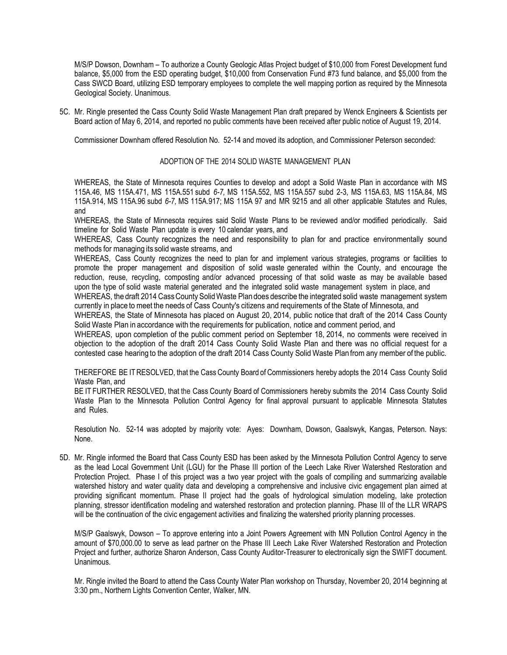M/S/P Dowson, Downham – To authorize a County Geologic Atlas Project budget of \$10,000 from Forest Development fund balance, \$5,000 from the ESD operating budget, \$10,000 from Conservation Fund #73 fund balance, and \$5,000 from the Cass SWCD Board, utilizing ESD temporary employees to complete the well mapping portion as required by the Minnesota Geological Society. Unanimous.

5C. Mr. Ringle presented the Cass County Solid Waste Management Plan draft prepared by Wenck Engineers & Scientists per Board action of May 6, 2014, and reported no public comments have been received after public notice of August 19, 2014.

Commissioner Downham offered Resolution No. 52-14 and moved its adoption, and Commissioner Peterson seconded:

## ADOPTION OF THE 2014 SOLID WASTE MANAGEMENT PLAN

WHEREAS, the State of Minnesota requires Counties to develop and adopt a Solid Waste Plan in accordance with MS 115A.46, MS 115A.471, MS 115A.551 subd *6-7,* MS 115A.552, MS 115A.557 subd 2-3, MS 115A.63, MS 115A.84, MS 115A.914, MS 115A.96 subd *6-7,* MS 115A.917; MS 115A 97 and MR 9215 and all other applicable Statutes and Rules, and

WHEREAS, the State of Minnesota requires said Solid Waste Plans to be reviewed and/or modified periodically. Said timeline for Solid Waste Plan update is every 10 calendar years, and

WHEREAS, Cass County recognizes the need and responsibility to plan for and practice environmentally sound methods for managing its solid waste streams, and

WHEREAS, Cass County recognizes the need to plan for and implement various strategies, programs or facilities to promote the proper management and disposition of solid waste generated within the County, and encourage the reduction, reuse, recycling, composting and/or advanced processing of that solid waste as may be available based upon the type of solid waste material generated and the integrated solid waste management system in place, and

WHEREAS, the draft 2014 Cass County Solid Waste Plan does describe the integrated solid waste management system currently in place to meet the needs of Cass County's citizens and requirements of the State of Minnesota, and

WHEREAS, the State of Minnesota has placed on August 20, 2014, public notice that draft of the 2014 Cass County Solid Waste Plan in accordance with the requirements for publication, notice and comment period, and

WHEREAS, upon completion of the public comment period on September 18, 2014, no comments were received in objection to the adoption of the draft 2014 Cass County Solid Waste Plan and there was no official request for a contested case hearing to the adoption of the draft 2014 Cass County Solid Waste Plan from any member of the public.

THEREFORE BE ITRESOLVED, that the Cass County Board of Commissioners hereby adopts the 2014 Cass County Solid Waste Plan, and

BE IT FURTHER RESOLVED, that the Cass County Board of Commissioners hereby submits the 2014 Cass County Solid Waste Plan to the Minnesota Pollution Control Agency for final approval pursuant to applicable Minnesota Statutes and Rules.

Resolution No. 52-14 was adopted by majority vote: Ayes: Downham, Dowson, Gaalswyk, Kangas, Peterson. Nays: None.

5D. Mr. Ringle informed the Board that Cass County ESD has been asked by the Minnesota Pollution Control Agency to serve as the lead Local Government Unit (LGU) for the Phase III portion of the Leech Lake River Watershed Restoration and Protection Project. Phase I of this project was a two year project with the goals of compiling and summarizing available watershed history and water quality data and developing a comprehensive and inclusive civic engagement plan aimed at providing significant momentum. Phase II project had the goals of hydrological simulation modeling, lake protection planning, stressor identification modeling and watershed restoration and protection planning. Phase III of the LLR WRAPS will be the continuation of the civic engagement activities and finalizing the watershed priority planning processes.

M/S/P Gaalswyk, Dowson – To approve entering into a Joint Powers Agreement with MN Pollution Control Agency in the amount of \$70,000.00 to serve as lead partner on the Phase III Leech Lake River Watershed Restoration and Protection Project and further, authorize Sharon Anderson, Cass County Auditor-Treasurer to electronically sign the SWIFT document. Unanimous.

Mr. Ringle invited the Board to attend the Cass County Water Plan workshop on Thursday, November 20, 2014 beginning at 3:30 pm., Northern Lights Convention Center, Walker, MN.